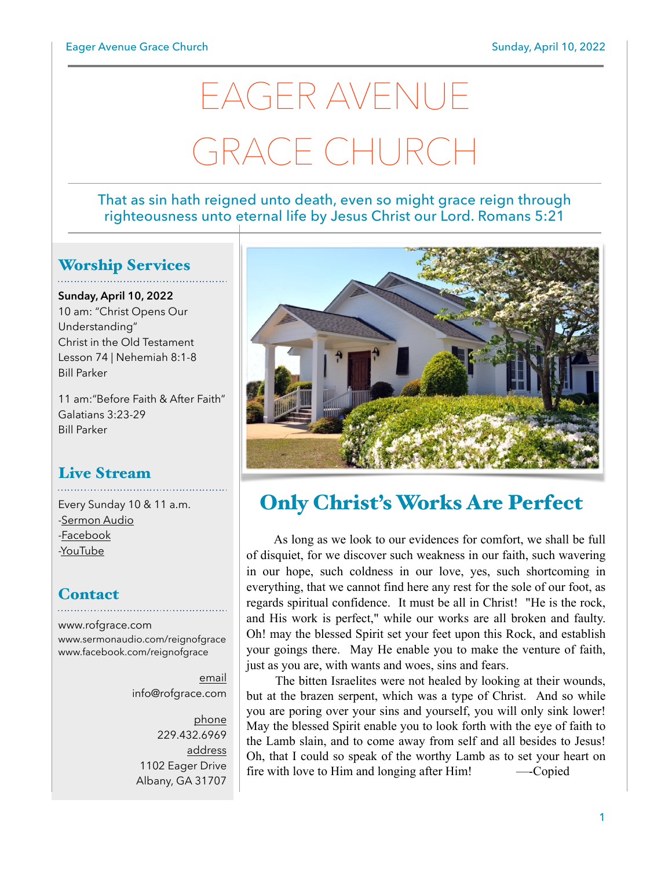# EAGER AVENUE GRACE CHURCH

#### That as sin hath reigned unto death, even so might grace reign through righteousness unto eternal life by Jesus Christ our Lord. Romans 5:21

## Worship Services

**Sunday, April 10, 2022** 10 am: "Christ Opens Our Understanding" Christ in the Old Testament Lesson 74 | Nehemiah 8:1-8 Bill Parker

11 am:"Before Faith & After Faith" Galatians 3:23-29 Bill Parker

## Live Stream

Every Sunday 10 & 11 a.m. [-Sermon Audio](http://sermonaudio.com/reignofgrace) [-Facebook](http://facebook.com/eageravechurch) [-YouTube](http://youtube.com/channel/UCu_lTHCIUOK0cka9AjFV_5Q/live)

### **Contact**

[www.rofgrace.com](http://www.rofgrace.com) [www.sermonaudio.com/reignofgrace](http://www.sermonaudio.com/reignofgrace) [www.facebook.com/reignofgrace](http://www.facebook.com/reignofgrace)

> email [info@rofgrace.com](mailto:info@rofgrace.com?subject=)

phone 229.432.6969 address 1102 Eager Drive Albany, GA 31707



# Only Christ's Works Are Perfect

 As long as we look to our evidences for comfort, we shall be full of disquiet, for we discover such weakness in our faith, such wavering in our hope, such coldness in our love, yes, such shortcoming in everything, that we cannot find here any rest for the sole of our foot, as regards spiritual confidence. It must be all in Christ! "He is the rock, and His work is perfect," while our works are all broken and faulty. Oh! may the blessed Spirit set your feet upon this Rock, and establish your goings there. May He enable you to make the venture of faith, just as you are, with wants and woes, sins and fears.

 The bitten Israelites were not healed by looking at their wounds, but at the brazen serpent, which was a type of Christ. And so while you are poring over your sins and yourself, you will only sink lower! May the blessed Spirit enable you to look forth with the eye of faith to the Lamb slain, and to come away from self and all besides to Jesus! Oh, that I could so speak of the worthy Lamb as to set your heart on fire with love to Him and longing after Him! —-Copied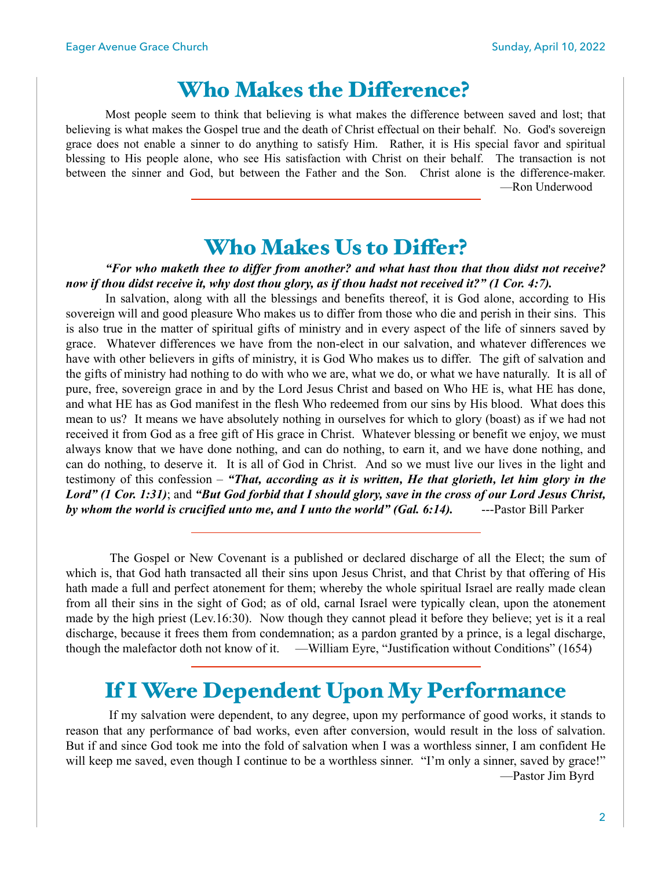## Who Makes the Diference?

Most people seem to think that believing is what makes the difference between saved and lost; that believing is what makes the Gospel true and the death of Christ effectual on their behalf. No. God's sovereign grace does not enable a sinner to do anything to satisfy Him. Rather, it is His special favor and spiritual blessing to His people alone, who see His satisfaction with Christ on their behalf. The transaction is not between the sinner and God, but between the Father and the Son. Christ alone is the difference-maker. —Ron Underwood

## Who Makes Us to Difer?

*"For who maketh thee to differ from another? and what hast thou that thou didst not receive? now if thou didst receive it, why dost thou glory, as if thou hadst not received it?" (1 Cor. 4:7).*

 In salvation, along with all the blessings and benefits thereof, it is God alone, according to His sovereign will and good pleasure Who makes us to differ from those who die and perish in their sins. This is also true in the matter of spiritual gifts of ministry and in every aspect of the life of sinners saved by grace. Whatever differences we have from the non-elect in our salvation, and whatever differences we have with other believers in gifts of ministry, it is God Who makes us to differ. The gift of salvation and the gifts of ministry had nothing to do with who we are, what we do, or what we have naturally. It is all of pure, free, sovereign grace in and by the Lord Jesus Christ and based on Who HE is, what HE has done, and what HE has as God manifest in the flesh Who redeemed from our sins by His blood. What does this mean to us? It means we have absolutely nothing in ourselves for which to glory (boast) as if we had not received it from God as a free gift of His grace in Christ. Whatever blessing or benefit we enjoy, we must always know that we have done nothing, and can do nothing, to earn it, and we have done nothing, and can do nothing, to deserve it. It is all of God in Christ. And so we must live our lives in the light and testimony of this confession – *"That, according as it is written, He that glorieth, let him glory in the Lord" (1 Cor. 1:31)*; and *"But God forbid that I should glory, save in the cross of our Lord Jesus Christ,*  by whom the world is crucified unto me, and I unto the world" (Gal. 6:14). ---Pastor Bill Parker

 The Gospel or New Covenant is a published or declared discharge of all the Elect; the sum of which is, that God hath transacted all their sins upon Jesus Christ, and that Christ by that offering of His hath made a full and perfect atonement for them; whereby the whole spiritual Israel are really made clean from all their sins in the sight of God; as of old, carnal Israel were typically clean, upon the atonement made by the high priest (Lev.16:30). Now though they cannot plead it before they believe; yet is it a real discharge, because it frees them from condemnation; as a pardon granted by a prince, is a legal discharge, though the malefactor doth not know of it. —William Eyre, "Justification without Conditions" (1654)

## If I Were Dependent Upon My Performance

 If my salvation were dependent, to any degree, upon my performance of good works, it stands to reason that any performance of bad works, even after conversion, would result in the loss of salvation. But if and since God took me into the fold of salvation when I was a worthless sinner, I am confident He will keep me saved, even though I continue to be a worthless sinner. "I'm only a sinner, saved by grace!" —Pastor Jim Byrd